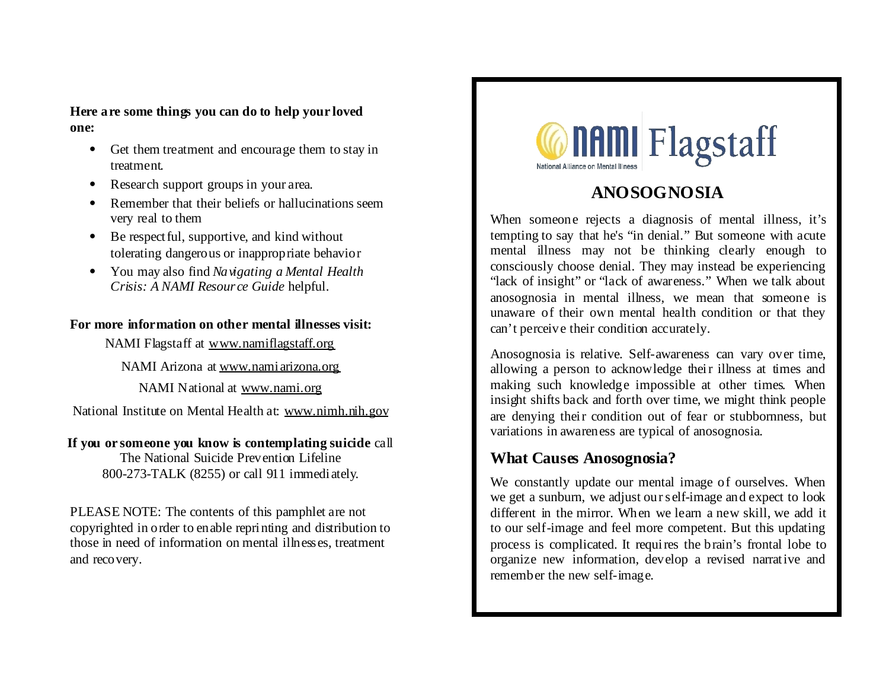### **Here are some things you can do to help your loved one:**

- Get them treatment and encourage them to stay in treatment.
- Research support groups in your area.
- Remember that their beliefs or hallucinations seem very real to them
- Be respect ful, supportive, and kind without tolerating dangerous or inappropriate behavior
- You may also find *Navigating a Mental Health Crisis: A NAMI Resource Guide* helpful.

## **For more information on other mental illnesses visit:**

NAMI Flagstaff at www.namiflagstaff.org

NAMI Arizona at www.namiarizona.org

NAMI National at www.nami.org

National Institute on Mental Health at: www.nimh.nih.gov

#### **If you or someone you know is contemplating suicide** call The National Suicide Prevention Lifeline

800-273-TALK (8255) or call 911 immediately.

PLEASE NOTE: The contents of this pamphlet are not copyrighted in order to enable reprinting and distribution to those in need of information on mental illnesses, treatment and recovery.



# **ANOSOGNOSIA**

When someone rejects a diagnosis of mental illness, it's tempting to say that he's "in denial." But someone with acute mental illness may not be thinking clearly enough to consciously choose denial. They may instead be experiencing "lack of insight" or "lack of awareness." When we talk about anosognosia in mental illness, we mean that someone is unaware of their own mental health condition or that they can't perceive their condition accurately.

Anosognosia is relative. Self-awareness can vary over time, allowing a person to acknowledge their illness at times and making such knowledge impossible at other times. When insight shifts back and forth over time, we might think people are denying their condition out of fear or stubbornness, but variations in awareness are typical of anosognosia.

# **What Causes Anosognosia?**

We constantly update our mental image of ourselves. When we get a sunburn, we adjust our self-image and expect to look different in the mirror. When we learn a new skill, we add it to our self-image and feel more competent. But this updating process is complicated. It requires the brain's frontal lobe to organize new information, develop a revised narrative and remember the new self-image.